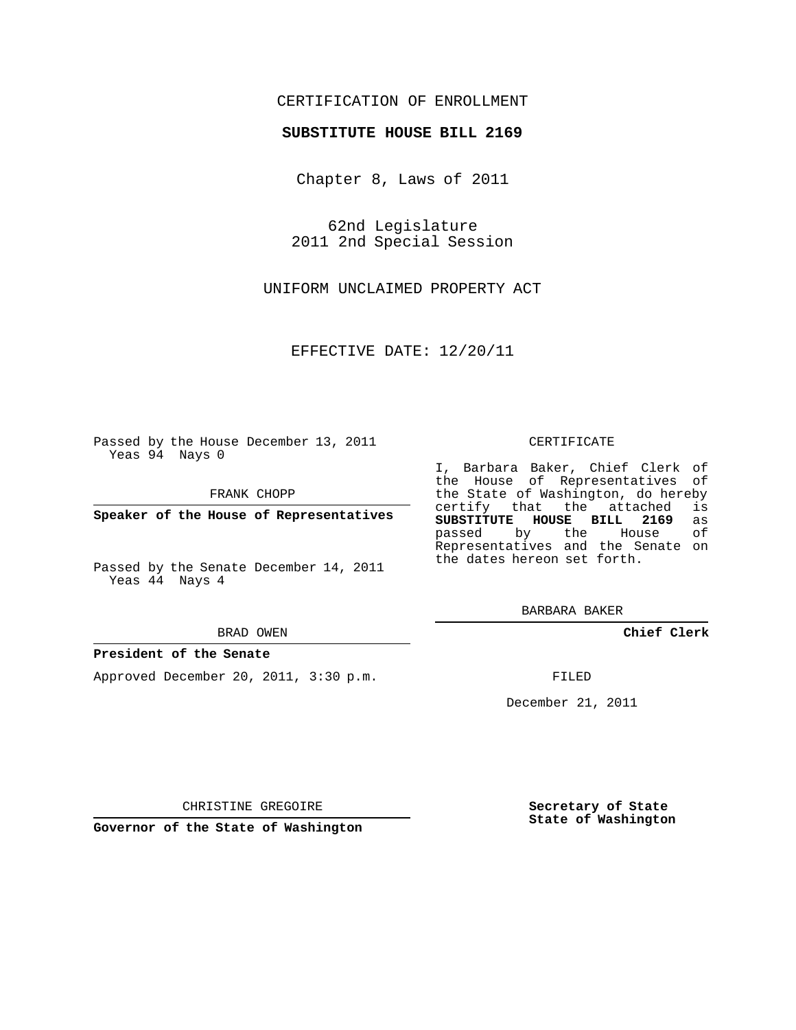## CERTIFICATION OF ENROLLMENT

## **SUBSTITUTE HOUSE BILL 2169**

Chapter 8, Laws of 2011

62nd Legislature 2011 2nd Special Session

UNIFORM UNCLAIMED PROPERTY ACT

EFFECTIVE DATE: 12/20/11

Passed by the House December 13, 2011 Yeas 94 Nays 0

FRANK CHOPP

**Speaker of the House of Representatives**

Passed by the Senate December 14, 2011 Yeas 44 Nays 4

#### BRAD OWEN

### **President of the Senate**

Approved December 20, 2011, 3:30 p.m.

CERTIFICATE

I, Barbara Baker, Chief Clerk of the House of Representatives of the State of Washington, do hereby<br>certify that the attached is certify that the attached **SUBSTITUTE HOUSE BILL 2169** as passed by the House of Representatives and the Senate on the dates hereon set forth.

BARBARA BAKER

**Chief Clerk**

FILED

December 21, 2011

CHRISTINE GREGOIRE

**Governor of the State of Washington**

**Secretary of State State of Washington**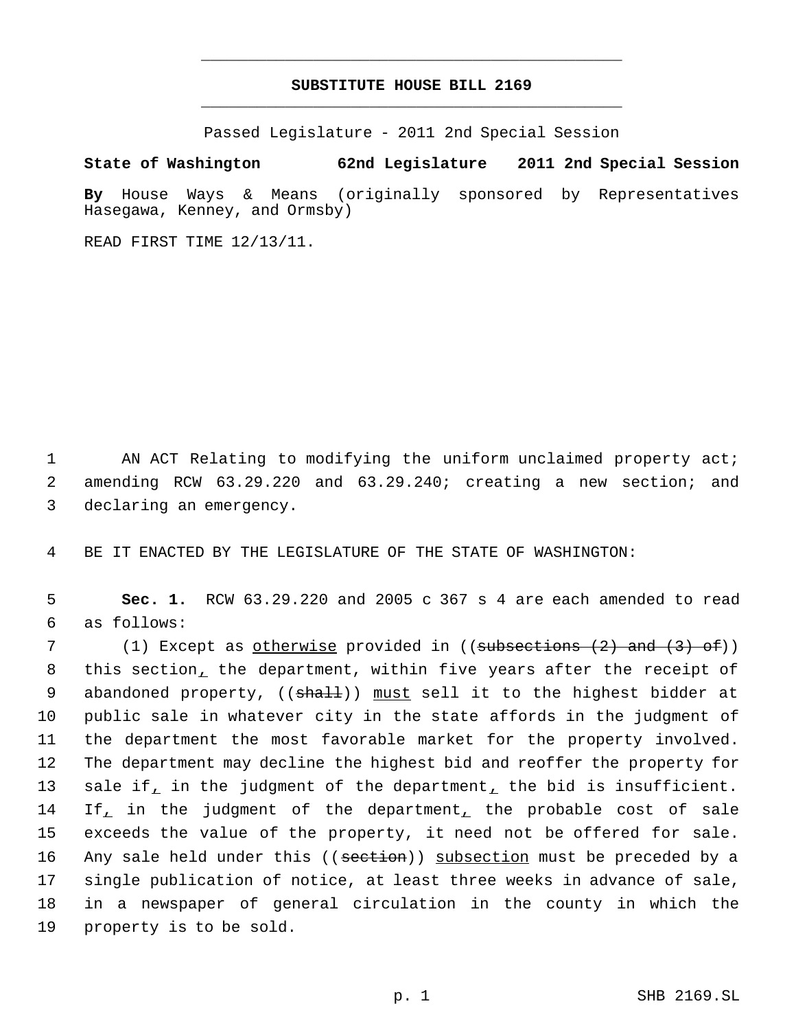# **SUBSTITUTE HOUSE BILL 2169** \_\_\_\_\_\_\_\_\_\_\_\_\_\_\_\_\_\_\_\_\_\_\_\_\_\_\_\_\_\_\_\_\_\_\_\_\_\_\_\_\_\_\_\_\_

\_\_\_\_\_\_\_\_\_\_\_\_\_\_\_\_\_\_\_\_\_\_\_\_\_\_\_\_\_\_\_\_\_\_\_\_\_\_\_\_\_\_\_\_\_

Passed Legislature - 2011 2nd Special Session

**State of Washington 62nd Legislature 2011 2nd Special Session**

**By** House Ways & Means (originally sponsored by Representatives Hasegawa, Kenney, and Ormsby)

READ FIRST TIME 12/13/11.

1 AN ACT Relating to modifying the uniform unclaimed property act; 2 amending RCW 63.29.220 and 63.29.240; creating a new section; and 3 declaring an emergency.

4 BE IT ENACTED BY THE LEGISLATURE OF THE STATE OF WASHINGTON:

 5 **Sec. 1.** RCW 63.29.220 and 2005 c 367 s 4 are each amended to read 6 as follows:

7 (1) Except as <u>otherwise</u> provided in ((<del>subsections (2) and (3) of</del>)) 8 this section, the department, within five years after the receipt of 9 abandoned property, ((shall)) must sell it to the highest bidder at 10 public sale in whatever city in the state affords in the judgment of 11 the department the most favorable market for the property involved. 12 The department may decline the highest bid and reoffer the property for 13 sale if, in the judgment of the department, the bid is insufficient. 14 If, in the judgment of the department, the probable cost of sale 15 exceeds the value of the property, it need not be offered for sale. 16 Any sale held under this ((section)) subsection must be preceded by a 17 single publication of notice, at least three weeks in advance of sale, 18 in a newspaper of general circulation in the county in which the 19 property is to be sold.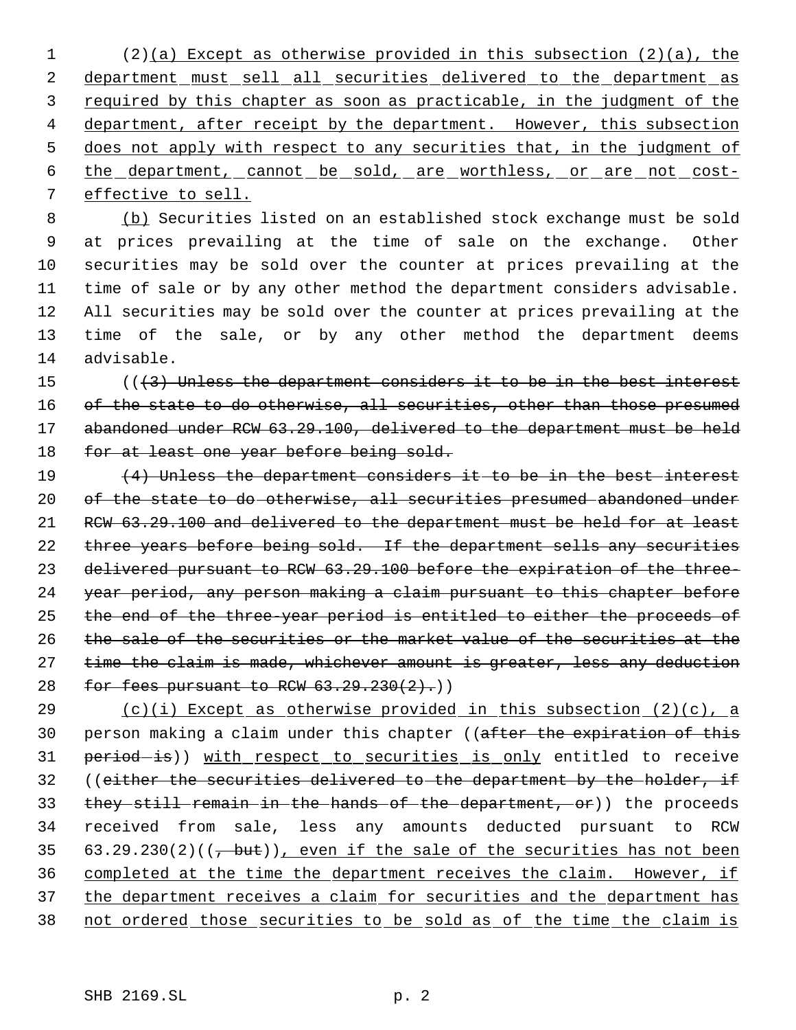1 (2)(a) Except as otherwise provided in this subsection (2)(a), the 2 department must sell all securities delivered to the department as 3 required by this chapter as soon as practicable, in the judgment of the 4 department, after receipt by the department. However, this subsection 5 does not apply with respect to any securities that, in the judgment of 6 the department, cannot be sold, are worthless, or are not cost- 7 effective to sell.

 (b) Securities listed on an established stock exchange must be sold at prices prevailing at the time of sale on the exchange. Other securities may be sold over the counter at prices prevailing at the time of sale or by any other method the department considers advisable. All securities may be sold over the counter at prices prevailing at the time of the sale, or by any other method the department deems advisable.

15 (((3) Unless the department considers it to be in the best interest 16 of the state to do otherwise, all securities, other than those presumed 17 abandoned under RCW 63.29.100, delivered to the department must be held 18 for at least one year before being sold.

19 (4) Unless the department considers it to be in the best interest 20 of the state to do otherwise, all securities presumed abandoned under 21 RCW 63.29.100 and delivered to the department must be held for at least 22 three years before being sold. If the department sells any securities 23 delivered pursuant to RCW 63.29.100 before the expiration of the three-24 year period, any person making a claim pursuant to this chapter before 25 the end of the three-year period is entitled to either the proceeds of 26 the sale of the securities or the market value of the securities at the 27 time the claim is made, whichever amount is greater, less any deduction 28 for fees pursuant to RCW  $63.29.230(2)$ .)

29  $(c)(i)$  Except as otherwise provided in this subsection  $(2)(c)$ , a 30 person making a claim under this chapter ((after the expiration of this 31 period-is)) with respect to securities is only entitled to receive 32 ((either the securities delivered to the department by the holder, if 33 they still remain in the hands of the department, or)) the proceeds 34 received from sale, less any amounts deducted pursuant to RCW 35 63.29.230(2)( $(\frac{1}{2}, \frac{b}{v})$ , even if the sale of the securities has not been 36 completed at the time the department receives the claim. However, if 37 the department receives a claim for securities and the department has 38 not ordered those securities to be sold as of the time the claim is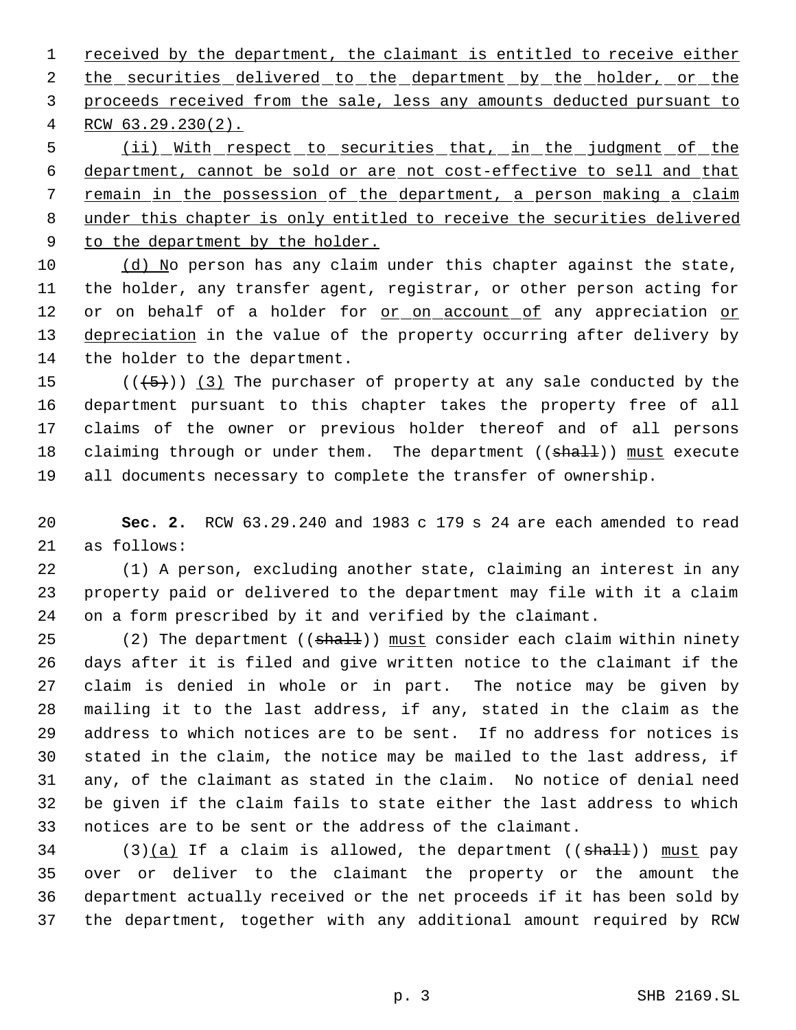1 received by the department, the claimant is entitled to receive either 2 the securities delivered to the department by the holder, or the proceeds received from the sale, less any amounts deducted pursuant to RCW 63.29.230(2).

 (ii) With respect to securities that, in the judgment of the department, cannot be sold or are not cost-effective to sell and that remain in the possession of the department, a person making a claim under this chapter is only entitled to receive the securities delivered 9 to the department by the holder.

 $(d)$  No person has any claim under this chapter against the state, the holder, any transfer agent, registrar, or other person acting for 12 or on behalf of a holder for <u>or on account of</u> any appreciation or 13 depreciation in the value of the property occurring after delivery by the holder to the department.

 $((+5))$  (3) The purchaser of property at any sale conducted by the department pursuant to this chapter takes the property free of all claims of the owner or previous holder thereof and of all persons 18 claiming through or under them. The department ((shall)) must execute all documents necessary to complete the transfer of ownership.

 **Sec. 2.** RCW 63.29.240 and 1983 c 179 s 24 are each amended to read as follows:

 (1) A person, excluding another state, claiming an interest in any property paid or delivered to the department may file with it a claim on a form prescribed by it and verified by the claimant.

25 (2) The department ((shall)) must consider each claim within ninety days after it is filed and give written notice to the claimant if the claim is denied in whole or in part. The notice may be given by mailing it to the last address, if any, stated in the claim as the address to which notices are to be sent. If no address for notices is stated in the claim, the notice may be mailed to the last address, if any, of the claimant as stated in the claim. No notice of denial need be given if the claim fails to state either the last address to which notices are to be sent or the address of the claimant.

 (3)(a) If a claim is allowed, the department (( $\text{shall}$ )) must pay over or deliver to the claimant the property or the amount the department actually received or the net proceeds if it has been sold by the department, together with any additional amount required by RCW